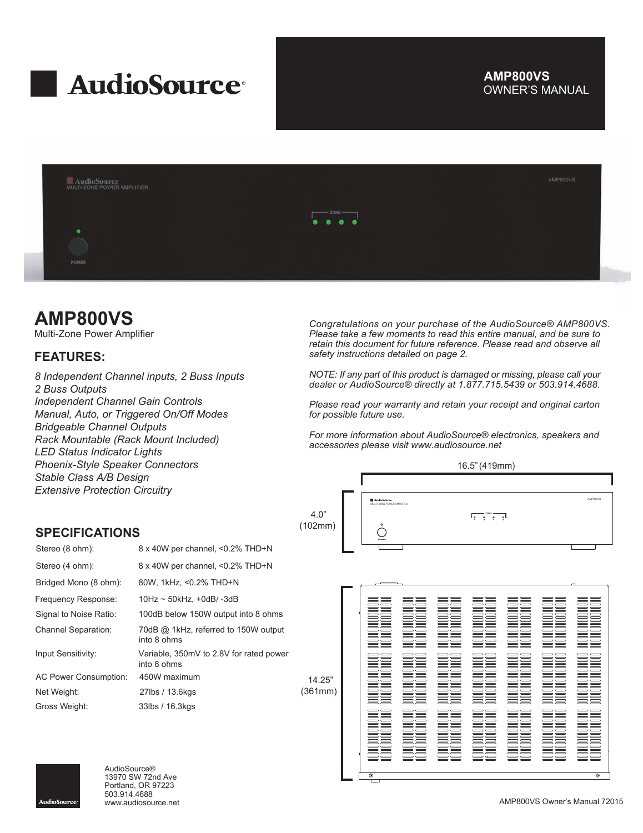

# OWNER'S MANUAL **AMP800VS**



# **AMP800VS**

Multi-Zone Power Amplifier

# **FEATURES:**

*8 Independent Channel inputs, 2 Buss Inputs 2 Buss Outputs Independent Channel Gain Controls Manual, Auto, or Triggered On/Off Modes Bridgeable Channel Outputs Rack Mountable (Rack Mount Included) LED Status Indicator Lights Phoenix-Style Speaker Connectors Stable Class A/B Design Extensive Protection Circuitry*

*Congratulations on your purchase of the AudioSource® AMP800VS. Please take a few moments to read this entire manual, and be sure to retain this document for future reference. Please read and observe all safety instructions detailed on page 2.*

*NOTE: If any part of this product is damaged or missing, please call your dealer or AudioSource® directly at 1.877.715.5439 or 503.914.4688.*

*Please read your warranty and retain your receipt and original carton for possible future use.*

*For more information about AudioSource® electronics, speakers and accessories please visit www.audiosource.net*





| Stereo (8 ohm):              | 8 x 40W per channel, <0.2% THD+N                       |    |
|------------------------------|--------------------------------------------------------|----|
| Stereo (4 ohm):              | 8 x 40W per channel, <0.2% THD+N                       |    |
| Bridged Mono (8 ohm):        | 80W, 1kHz, <0.2% THD+N                                 |    |
| Frequency Response:          | $10$ Hz ~ 50kHz, +0dB/-3dB                             |    |
| Signal to Noise Ratio:       | 100dB below 150W output into 8 ohms                    |    |
| <b>Channel Separation:</b>   | 70dB @ 1kHz, referred to 150W output<br>into 8 ohms    |    |
| Input Sensitivity:           | Variable, 350mV to 2.8V for rated power<br>into 8 ohms |    |
| <b>AC Power Consumption:</b> | 450W maximum                                           |    |
| Net Weight:                  | 27lbs / 13.6kgs                                        | (3 |
| Gross Weight:                | 33lbs / 16.3kgs                                        |    |





AudioSource® 13970 SW 72nd Ave Portland, OR 97223 503.914.4688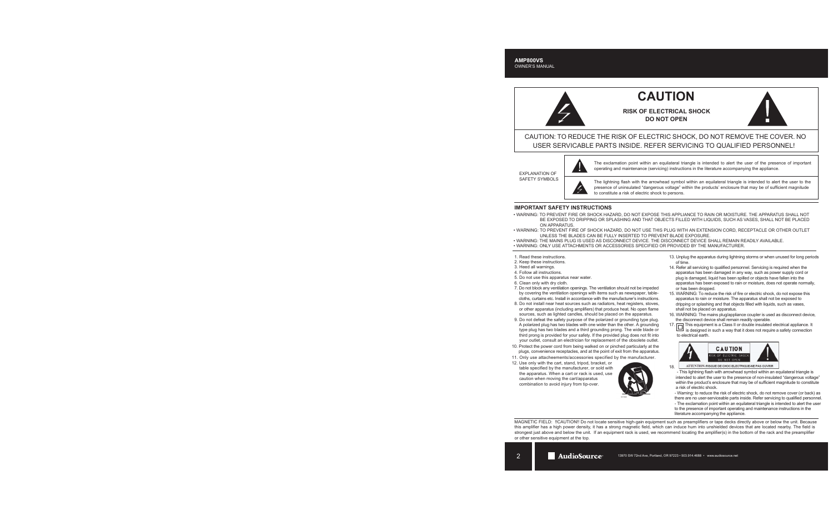# **CAUTION**

**RISK OF ELECTRICAL SHOCK DO NOT OPEN**



CAUTION: TO REDUCE THE RISK OF ELECTRIC SHOCK, DO NOT REMOVE THE COVER. NO USER SERVICABLE PARTS INSIDE. REFER SERVICING TO QUALIFIED PERSONNEL!

EXPLANATION OF SAFETY SYMBOLS



The exclamation point within an equilateral triangle is intended to alert the user of the presence of important operating and maintenance (servicing) instructions in the literature accompanying the appliance.

The lightning flash with the arrowhead symbol within an equilateral triangle is intended to alert the user to the presence of uninsulated "dangerous voltage" within the products' enclosure that may be of sufficient magnitude to constitute a risk of electric shock to persons.

## **IMPORTANT SAFETY INSTRUCTIONS**

- WARNING: TO PREVENT FIRE OR SHOCK HAZARD, DO NOT EXPOSE THIS APPLIANCE TO RAIN OR MOISTURE. THE APPARATUS SHALL NOT BE EXPOSED TO DRIPPING OR SPLASHING AND THAT OBJECTS FILLED WITH LIQUIDS, SUCH AS VASES, SHALL NOT BE PLACED ON APPARATUS.
- WARNING: TO PREVENT FIRE OF SHOCK HAZARD, DO NOT USE THIS PLUG WITH AN EXTENSION CORD, RECEPTACLE OR OTHER OUTLET UNLESS THE BLADES CAN BE FULLY INSERTED TO PREVENT BLADE EXPOSURE.
- WARNING: THE MAINS PLUG IS USED AS DISCONNECT DEVICE. THE DISCONNECT DEVICE SHALL REMAIN READILY AVAILABLE.
- WARNING: ONLY USE ATTACHMENTS OR ACCESSORIES SPECIFIED OR PROVIDED BY THE MANUFACTURER.
- 1. Read these instructions.
- 2. Keep these instructions.
- 3. Heed all warnings.
- 4. Follow all instructions.
- 5. Do not use this apparatus near water.
- 6. Clean only with dry cloth.
- 7. Do not block any ventilation openings. The ventilation should not be impeded by covering the ventilation openings with items such as newspaper, table cloths, curtains etc. Install in accordance with the manufacturer's instructions.
- 8. Do not install near heat sources such as radiators, heat registers, stoves, or other apparatus (including amplifiers) that produce heat. No open flame sources, such as lighted candles, should be placed on the apparatus.
- 9. Do not defeat the safety purpose of the polarized or grounding type plug. A polarized plug has two blades with one wider than the other. A grounding type plug has two blades and a third grounding prong. The wide blade or third prong is provided for your safety. If the provided plug does not fit into your outlet, consult an electrician for replacement of the obsolete outlet.
- 10. Protect the power cord from being walked on or pinched particularly at the plugs, convenience receptacles, and at the point of exit from the apparatus.
- 11. Only use attacheements/accessories specified by the manufacturer.
- 12. Use only with the cart, stand, tripod, bracket, or table specified by the manufacturer, or sold with the apparatus. When a cart or rack is used, use caution when moving the cart/apparatus combination to avoid injury from tip-over.



- 13. Unplug the apparatus during lightning storms or when unused for long periods of time.
- 14. Refer all servicing to qualified personnel. Servicing is required when the apparatus has been damaged in any way, such as power supply cord or plug is damaged, liquid has been spilled or objects have fallen into the apparatus has been exposed to rain or moisture, does not operate normally, or has been dropped.
- 15. WARNING: To reduce the risk of fire or electric shock, do not expose this apparatus to rain or moisture. The apparatus shall not be exposed to dripping or splashing and that objects filled with liquids, such as vases, shall not be placed on apparatus.
- 16. WARNING: The mains plug/appliance coupler is used as disconnect device, the disconnect device shall remain readily operable.
- 17. This equipment is a Class II or double insulated electrical appliance. It is designed in such a way that it does not require a safety connection to electrical earth.



ATTENTION: RISQUE DE CHOC ELECTRIQUE-NE PAS OUVRIR 18.

 - This lightning flash with arrowhead symbol within an equilateral triangle is intended to alert the user to the presence of non-insulated "dangerous voltage" within the product's enclosure that may be of sufficient magnitude to constitute a risk of electric shock.

 - Warning: to reduce the risk of electric shock, do not remove cover (or back) as there are no user-serviceable parts inside. Refer servicing to qualified personnel. - The exclamation point within an equilateral triangle is intended to alert the user

 to the presence of important operating and maintenance instructions in the literature accompanying the appliance.

MAGNETIC FIELD: !!CAUTION!! Do not locate sensitive high-gain equipment such as preamplifiers or tape decks directly above or below the unit. Because this amplifier has a high power density, it has a strong magnetic field, which can induce hum into unshielded devices that are located nearby. The field is strongest just above and below the unit. If an equipment rack is used, we recommend locating the amplifier(s) in the bottom of the rack and the preamplifier or other sensitive equipment at the top.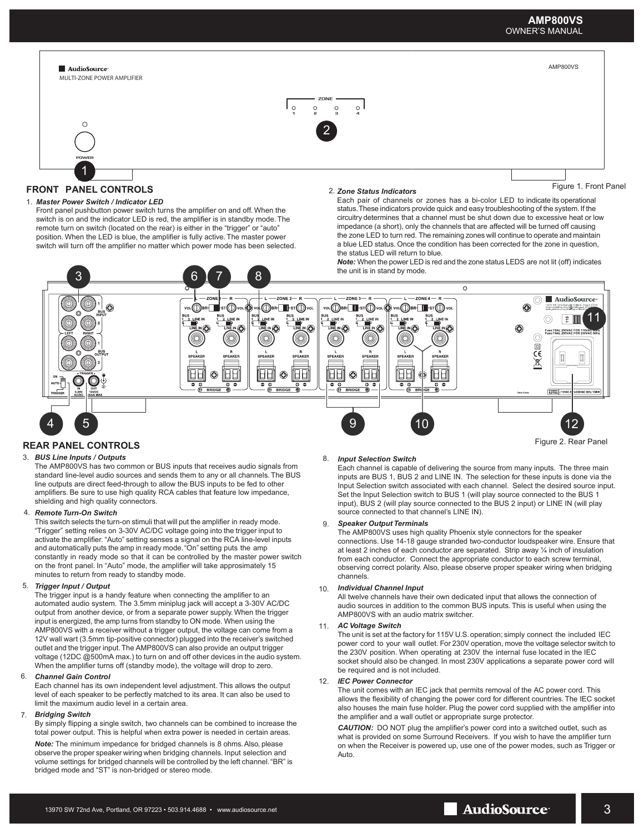



1. *Master Power Switch / Indicator LED* rront paner pusnbutton power switch turns the amplifier on and off. vinen the<br>switch is on and the indicator LED is red, the amplifier is in standby mode. The Front panel pushbutton power switch turns the amplifier on and off. When the remote turn on switch (located on the rear) is either in the "trigger" or "auto" position. When the LED is blue, the amplifier is fully active. The master power switch will turn off the amplifier no matter which power mode has been selected.

### *Zone Status Indicators*

Each pair of channels or zones has a bi-color LED to indicate its operational status. These indicators provide quick and easy troubleshooting of the system. If the circuitry determines that a channel must be shut down due to excessive heat or low impedance (a short), only the channels that are affected will be turned off causing the zone LED to turn red. The remaining zones will continue to operate and maintain a blue LED status. Once the condition has been corrected for the zone in question, the status LED will return to blue.

*Note:* When the power LED is red and the zone status LEDS are not lit (off) indicates the unit is in stand by mode.



## **REAR PANEL CONTROLS**

#### 3. *BUS Line Inputs / Outputs*

The AMP800VS has two common or BUS inputs that receives audio signals from standard line-level audio sources and sends them to any or all channels. The BUS line outputs are direct feed-through to allow the BUS inputs to be fed to other amplifiers. Be sure to use high quality RCA cables that feature low impedance, shielding and high quality connectors.

#### 4. *Remote Turn-On Switch*

This switch selects the turn-on stimuli that will put the amplifier in ready mode. "Trigger" setting relies on 3-30V AC/DC voltage going into the trigger input to activate the amplifier. "Auto" setting senses a signal on the RCA line-level inputs and automatically puts the amp in ready mode. "On" setting puts the amp constantly in ready mode so that it can be controlled by the master power switch on the front panel. In "Auto" mode, the amplifier will take approsimately 15 minutes to return from ready to standby mode.

#### 5. *Trigger Input / Output*

The trigger input is a handy feature when connecting the amplifier to an automated audio system. The 3.5mm miniplug jack will accept a 3-30V AC/DC output from another device, or from a separate power supply. When the trigger input is energized, the amp turns from standby to ON mode. When using the AMP800VS with a receiver without a trigger output, the voltage can come from a 12V wall wart (3.5mm tip-positive connector) plugged into the receiver's switched outlet and the trigger input. The AMP800VS can also provide an output trigger voltage (12DC @500mA max.) to turn on and off other devices in the audio system. When the amplifier turns off (standby mode), the voltage will drop to zero.

#### 6. *Channel Gain Control*

Each channel has its own independent level adjustment. This allows the output level of each speaker to be perfectly matched to its area. It can also be used to limit the maximum audio level in a certain area.

#### *Bridging Switch* 7.

By simply flipping a single switch, two channels can be combined to increase the total power output. This is helpful when extra power is needed in certain areas.

*Note:* The minimum impedance for bridged channels is 8 ohms. Also, please observe the proper speaker wiring when bridging channels. Input selection and volume settings for bridged channels will be controlled by the left channel. "BR" is bridged mode and "ST" is non-bridged or stereo mode.

## 8. *Input Selection Switch*

Each channel is capable of delivering the source from many inputs. The three main inputs are BUS 1, BUS 2 and LINE IN. The selection for these inputs is done via the Input Selection switch associated with each channel. Select the desired source input. Set the Input Selection switch to BUS 1 (will play source connected to the BUS 1 input), BUS 2 (will play source connected to the BUS 2 input) or LINE IN (will play source connected to that channel's LINE IN).

#### 9. *Speaker Output Terminals*

The AMP800VS uses high quality Phoenix style connectors for the speaker connections. Use 14-18 gauge stranded two-conductor loudspeaker wire. Ensure that at least 2 inches of each conductor are separated. Strip away ¼ inch of insulation from each conductor. Connect the appropriate conductor to each screw terminal, observing correct polarity. Also, please observe proper speaker wiring when bridging channels.

#### 10. *Individual Channel Input*

All twelve channels have their own dedicated input that allows the connection of audio sources in addition to the common BUS inputs. This is useful when using the AMP800VS with an audio matrix switcher.

#### 11. *AC Voltage Switch*

The unit is set at the factory for 115V U.S. operation; simply connect the included IEC power cord to your wall outlet. For 230V operation, move the voltage selector switch to the 230V position. When operating at 230V the internal fuse located in the IEC socket should also be changed. In most 230V applications a separate power cord will be required and is not included.

#### *IEC Power Connector* 12.

The unit comes with an IEC jack that permits removal of the AC power cord. This allows the flexibility of changing the power cord for different countries. The IEC socket also houses the main fuse holder. Plug the power cord supplied with the amplifier into the amplifier and a wall outlet or appropriate surge protector.

*CAUTION:* DO NOT plug the amplifier's power cord into a switched outlet, such as what is provided on some Surround Receivers. If you wish to have the amplifier turn on when the Receiver is powered up, use one of the power modes, such as Trigger or Auto.